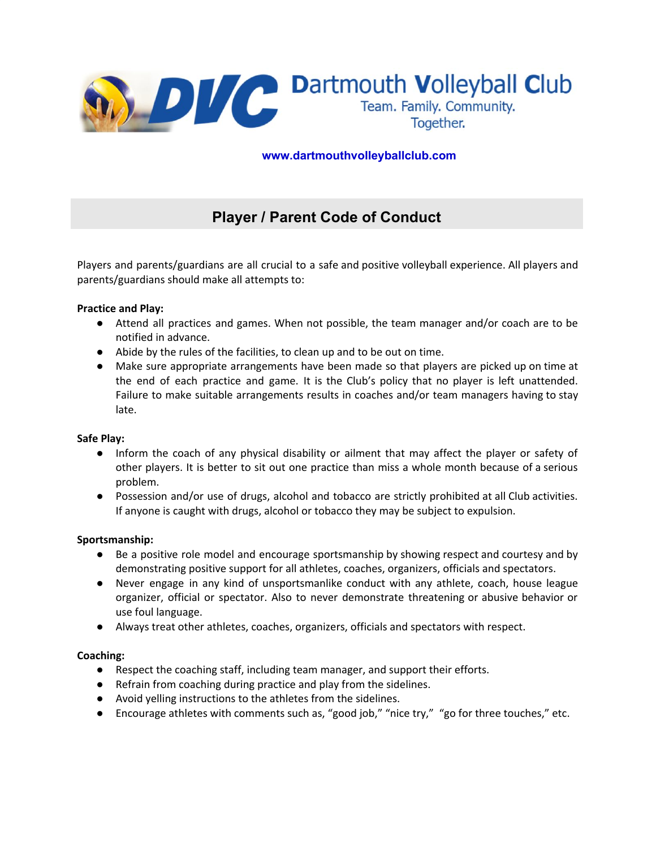

 **www.dartmouthvolleyballclub.com**

# **Player / Parent Code of Conduct**

Players and parents/guardians are all crucial to a safe and positive volleyball experience. All players and parents/guardians should make all attempts to:

## **Practice and Play:**

- Attend all practices and games. When not possible, the team manager and/or coach are to be notified in advance.
- Abide by the rules of the facilities, to clean up and to be out on time.
- Make sure appropriate arrangements have been made so that players are picked up on time at the end of each practice and game. It is the Club's policy that no player is left unattended. Failure to make suitable arrangements results in coaches and/or team managers having to stay late.

#### **Safe Play:**

- Inform the coach of any physical disability or ailment that may affect the player or safety of other players. It is better to sit out one practice than miss a whole month because of a serious problem.
- Possession and/or use of drugs, alcohol and tobacco are strictly prohibited at all Club activities. If anyone is caught with drugs, alcohol or tobacco they may be subject to expulsion.

#### **Sportsmanship:**

- Be a positive role model and encourage sportsmanship by showing respect and courtesy and by demonstrating positive support for all athletes, coaches, organizers, officials and spectators.
- Never engage in any kind of unsportsmanlike conduct with any athlete, coach, house league organizer, official or spectator. Also to never demonstrate threatening or abusive behavior or use foul language.
- Always treat other athletes, coaches, organizers, officials and spectators with respect.

#### **Coaching:**

- Respect the coaching staff, including team manager, and support their efforts.
- Refrain from coaching during practice and play from the sidelines.
- Avoid yelling instructions to the athletes from the sidelines.
- Encourage athletes with comments such as, "good job," "nice try," "go for three touches," etc.